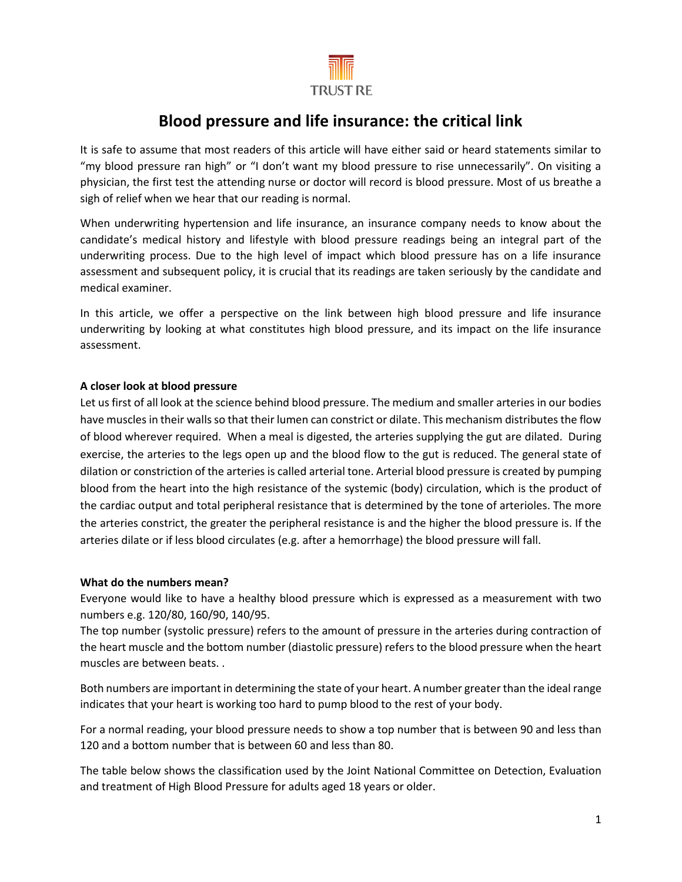

# **Blood pressure and life insurance: the critical link**

It is safe to assume that most readers of this article will have either said or heard statements similar to "my blood pressure ran high" or "I don't want my blood pressure to rise unnecessarily". On visiting a physician, the first test the attending nurse or doctor will record is blood pressure. Most of us breathe a sigh of relief when we hear that our reading is normal.

When underwriting hypertension and life insurance, an insurance company needs to know about the candidate's medical history and lifestyle with blood pressure readings being an integral part of the underwriting process. Due to the high level of impact which blood pressure has on a life insurance assessment and subsequent policy, it is crucial that its readings are taken seriously by the candidate and medical examiner.

In this article, we offer a perspective on the link between high blood pressure and life insurance underwriting by looking at what constitutes high blood pressure, and its impact on the life insurance assessment.

## **A closer look at blood pressure**

Let us first of all look at the science behind blood pressure. The medium and smaller arteries in our bodies have muscles in their walls so that their lumen can constrict or dilate. This mechanism distributes the flow of blood wherever required. When a meal is digested, the arteries supplying the gut are dilated. During exercise, the arteries to the legs open up and the blood flow to the gut is reduced. The general state of dilation or constriction of the arteries is called arterial tone. Arterial blood pressure is created by pumping blood from the heart into the high resistance of the systemic (body) circulation, which is the product of the cardiac output and total peripheral resistance that is determined by the tone of arterioles. The more the arteries constrict, the greater the peripheral resistance is and the higher the blood pressure is. If the arteries dilate or if less blood circulates (e.g. after a hemorrhage) the blood pressure will fall.

#### **What do the numbers mean?**

Everyone would like to have a healthy blood pressure which is expressed as a measurement with two numbers e.g. 120/80, 160/90, 140/95.

The top number (systolic pressure) refers to the amount of pressure in the arteries during contraction of the heart muscle and the bottom number (diastolic pressure) refers to the blood pressure when the heart muscles are between beats. .

Both numbers are important in determining the state of your heart. A number greater than the ideal range indicates that your heart is working too hard to pump blood to the rest of your body.

For a normal reading, your blood pressure needs to show a top number that is between 90 and less than 120 and a bottom number that is between 60 and less than 80.

The table below shows the classification used by the Joint National Committee on Detection, Evaluation and treatment of High Blood Pressure for adults aged 18 years or older.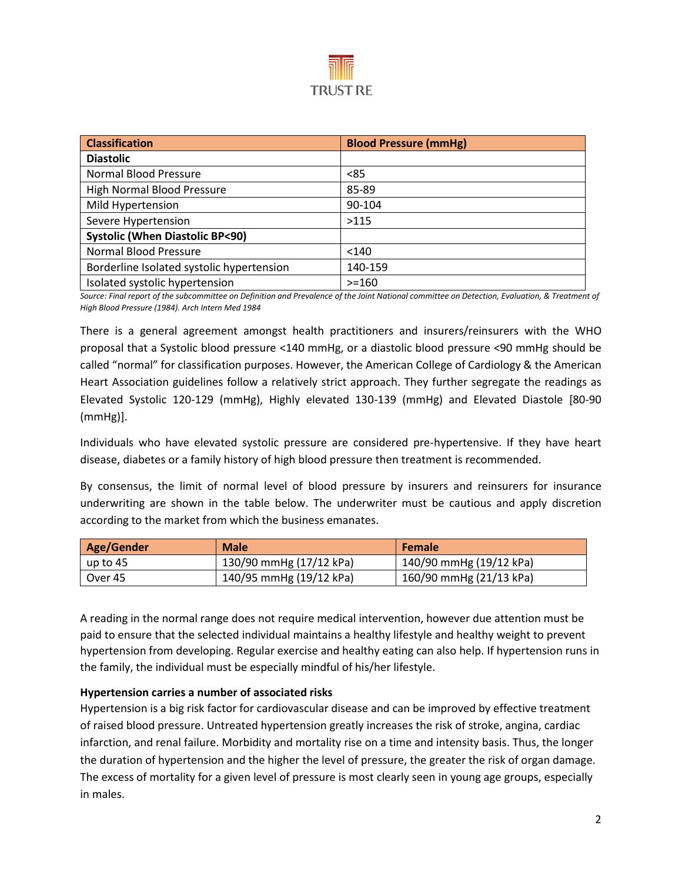

| <b>Classification</b>                     | <b>Blood Pressure (mmHg)</b> |
|-------------------------------------------|------------------------------|
| <b>Diastolic</b>                          |                              |
| Normal Blood Pressure                     | < 85                         |
| <b>High Normal Blood Pressure</b>         | 85-89                        |
| Mild Hypertension                         | 90-104                       |
| Severe Hypertension                       | >115                         |
| <b>Systolic (When Diastolic BP&lt;90)</b> |                              |
| <b>Normal Blood Pressure</b>              | < 140                        |
| Borderline Isolated systolic hypertension | 140-159                      |
| Isolated systolic hypertension            | $>=160$                      |

*Source: Final report of the subcommittee on Definition and Prevalence of the Joint National committee on Detection, Evaluation, & Treatment of High Blood Pressure (1984). Arch Intern Med 1984*

There is a general agreement amongst health practitioners and insurers/reinsurers with the WHO proposal that a Systolic blood pressure <140 mmHg, or a diastolic blood pressure <90 mmHg should be called "normal" for classification purposes. However, the American College of Cardiology & the American Heart Association guidelines follow a relatively strict approach. They further segregate the readings as Elevated Systolic 120-129 (mmHg), Highly elevated 130-139 (mmHg) and Elevated Diastole [80-90 (mmHg)].

Individuals who have elevated systolic pressure are considered pre-hypertensive. If they have heart disease, diabetes or a family history of high blood pressure then treatment is recommended.

By consensus, the limit of normal level of blood pressure by insurers and reinsurers for insurance underwriting are shown in the table below. The underwriter must be cautious and apply discretion according to the market from which the business emanates.

| Age/Gender | <b>Male</b>             | <b>Female</b>           |
|------------|-------------------------|-------------------------|
| up to 45   | 130/90 mmHg (17/12 kPa) | 140/90 mmHg (19/12 kPa) |
| Over 45    | 140/95 mmHg (19/12 kPa) | 160/90 mmHg (21/13 kPa) |

A reading in the normal range does not require medical intervention, however due attention must be paid to ensure that the selected individual maintains a healthy lifestyle and healthy weight to prevent hypertension from developing. Regular exercise and healthy eating can also help. If hypertension runs in the family, the individual must be especially mindful of his/her lifestyle.

#### **Hypertension carries a number of associated risks**

Hypertension is a big risk factor for cardiovascular disease and can be improved by effective treatment of raised blood pressure. Untreated hypertension greatly increases the risk of stroke, angina, cardiac infarction, and renal failure. Morbidity and mortality rise on a time and intensity basis. Thus, the longer the duration of hypertension and the higher the level of pressure, the greater the risk of organ damage. The excess of mortality for a given level of pressure is most clearly seen in young age groups, especially in males.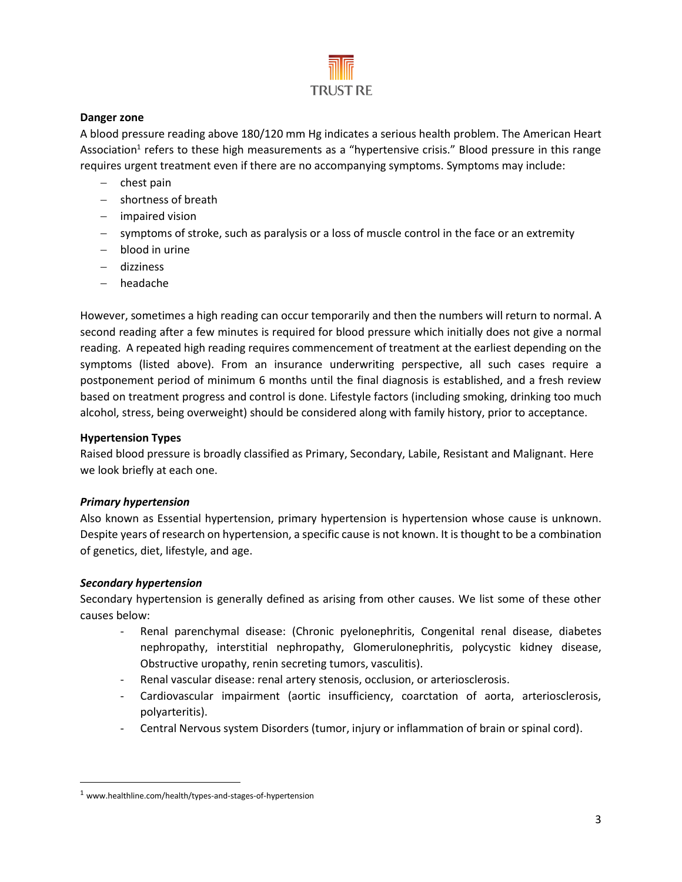

#### **Danger zone**

A blood pressure reading above 180/120 mm Hg indicates a serious health problem. The American Heart Association<sup>1</sup> refers to these high measurements as a "hypertensive crisis." Blood pressure in this range requires urgent treatment even if there are no accompanying symptoms. Symptoms may include:

- − [chest pain](https://www.healthline.com/symptom/chest-pain)
- − shortness of breath
- − impaired vision
- − symptoms of stroke, such as paralysis or a loss of muscle control in the face or an extremity
- − [blood in urine](https://www.healthline.com/symptom/blood-in-urine)
- − [dizziness](https://www.healthline.com/symptom/dizziness)
- − [headache](https://www.healthline.com/health/headache)

However, sometimes a high reading can occur temporarily and then the numbers will return to normal. A second reading after a few minutes is required for blood pressure which initially does not give a normal reading. A repeated high reading requires commencement of treatment at the earliest depending on the symptoms (listed above). From an insurance underwriting perspective, all such cases require a postponement period of minimum 6 months until the final diagnosis is established, and a fresh review based on treatment progress and control is done. Lifestyle factors (including smoking, drinking too much alcohol, stress, being overweight) should be considered along with family history, prior to acceptance.

## **Hypertension Types**

Raised blood pressure is broadly classified as Primary, Secondary, Labile, Resistant and Malignant. Here we look briefly at each one.

# *Primary hypertension*

Also known as Essential hypertension, primary hypertension is hypertension whose cause is unknown. Despite years of research on hypertension, a specific cause is not known. It is thought to be a combination of genetics, diet, lifestyle, and age.

#### *Secondary hypertension*

 $\overline{\phantom{a}}$ 

Secondary hypertension is generally defined as arising from other causes. We list some of these other causes below:

- Renal parenchymal disease: (Chronic pyelonephritis, Congenital renal disease, diabetes nephropathy, interstitial nephropathy, Glomerulonephritis, polycystic kidney disease, Obstructive uropathy, renin secreting tumors, vasculitis).
- Renal vascular disease: renal artery stenosis, occlusion, or arteriosclerosis.
- Cardiovascular impairment (aortic insufficiency, coarctation of aorta, arteriosclerosis, polyarteritis).
- Central Nervous system Disorders (tumor, injury or inflammation of brain or spinal cord).

<sup>1</sup> www.healthline.com/health/types-and-stages-of-hypertension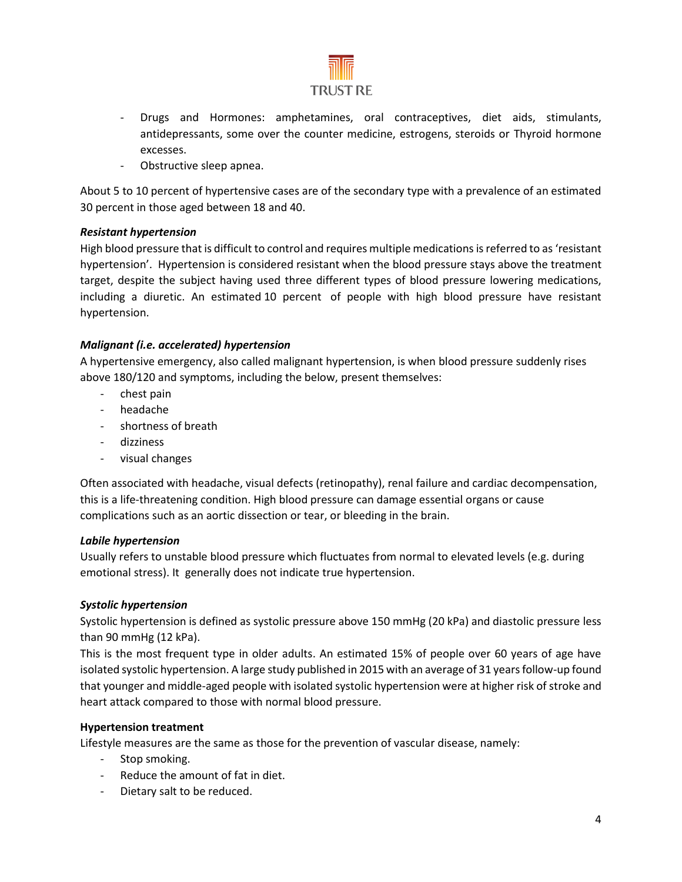

- Drugs and Hormones: amphetamines, oral contraceptives, diet aids, stimulants, antidepressants, some over the counter medicine, estrogens, steroids or Thyroid hormone excesses.
- Obstructive sleep apnea.

About 5 to 10 percent of hypertensive cases are of the secondary type with a prevalence of an estimated 30 percent in those aged between 18 and 40.

## *Resistant hypertension*

High blood pressure that is difficult to control and requires multiple medicationsis referred to as 'resistant hypertension'. Hypertension is considered resistant when the blood pressure stays above the treatment target, despite the subject having used three different types of blood pressure lowering medications, including a diuretic. An estimated [10 percent](https://www.ncbi.nlm.nih.gov/pmc/articles/PMC4408700/) of people with high blood pressure have resistant hypertension.

## *Malignant (i.e. accelerated) hypertension*

A hypertensive emergency, also called malignant hypertension, is when blood pressure suddenly rises above 180/120 and symptoms, including the below, present themselves:

- chest pain
- headache
- shortness of breath
- dizziness
- visual changes

Often associated with headache, visual defects (retinopathy), renal failure and cardiac decompensation, this is a life-threatening condition. High blood pressure can damage essential organs or cause complications such as an aortic dissection or tear, or bleeding in the brain.

#### *Labile hypertension*

Usually refers to unstable blood pressure which fluctuates from normal to elevated levels (e.g. during emotional stress). It generally does not indicate true hypertension.

#### *Systolic hypertension*

Systolic hypertension is defined as systolic pressure above 150 mmHg (20 kPa) and diastolic pressure less than 90 mmHg (12 kPa).

This is the most frequent type in older adults. An estimated 15% of people over 60 years of age have isolated systolic hypertension. A large study published in 2015 with an average of 31 years follow-up found that younger and middle-aged people with isolated systolic hypertension were at higher risk of stroke and heart attack compared to those with normal blood pressure.

#### **Hypertension treatment**

Lifestyle measures are the same as those for the prevention of vascular disease, namely:

- Stop smoking.
- Reduce the amount of fat in diet.
- Dietary salt to be reduced.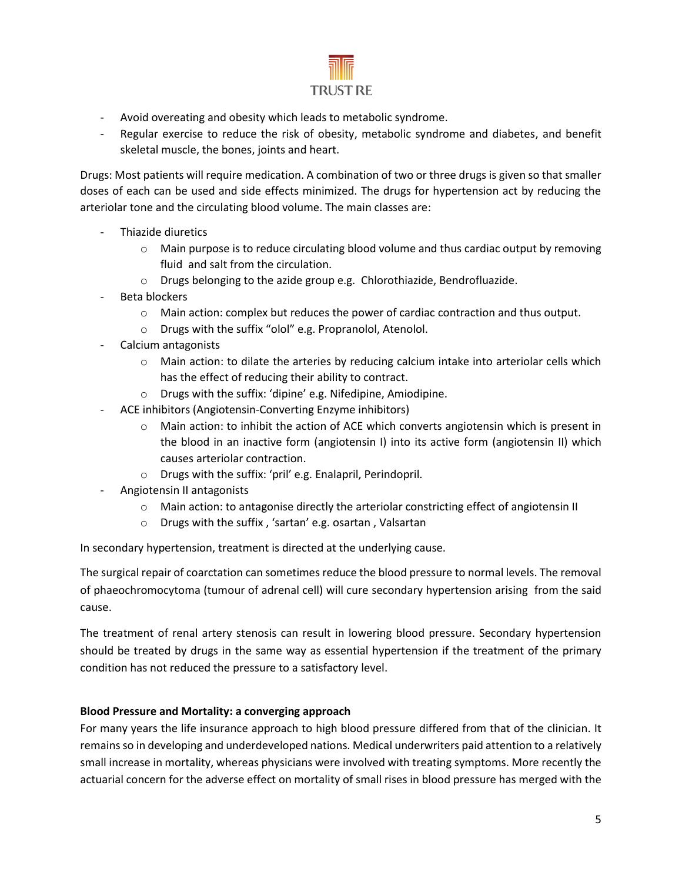

- Avoid overeating and obesity which leads to metabolic syndrome.
- Regular exercise to reduce the risk of obesity, metabolic syndrome and diabetes, and benefit skeletal muscle, the bones, joints and heart.

Drugs: Most patients will require medication. A combination of two or three drugs is given so that smaller doses of each can be used and side effects minimized. The drugs for hypertension act by reducing the arteriolar tone and the circulating blood volume. The main classes are:

- Thiazide diuretics
	- $\circ$  Main purpose is to reduce circulating blood volume and thus cardiac output by removing fluid and salt from the circulation.
	- o Drugs belonging to the azide group e.g. Chlorothiazide, Bendrofluazide.
- Beta blockers
	- $\circ$  Main action: complex but reduces the power of cardiac contraction and thus output.
	- o Drugs with the suffix "olol" e.g. Propranolol, Atenolol.
- Calcium antagonists
	- $\circ$  Main action: to dilate the arteries by reducing calcium intake into arteriolar cells which has the effect of reducing their ability to contract.
	- o Drugs with the suffix: 'dipine' e.g. Nifedipine, Amiodipine.
- ACE inhibitors (Angiotensin-Converting Enzyme inhibitors)
	- o Main action: to inhibit the action of ACE which converts angiotensin which is present in the blood in an inactive form (angiotensin I) into its active form (angiotensin II) which causes arteriolar contraction.
	- o Drugs with the suffix: 'pril' e.g. Enalapril, Perindopril.
- Angiotensin II antagonists
	- o Main action: to antagonise directly the arteriolar constricting effect of angiotensin II
	- o Drugs with the suffix , 'sartan' e.g. osartan , Valsartan

In secondary hypertension, treatment is directed at the underlying cause.

The surgical repair of coarctation can sometimes reduce the blood pressure to normal levels. The removal of phaeochromocytoma (tumour of adrenal cell) will cure secondary hypertension arising from the said cause.

The treatment of renal artery stenosis can result in lowering blood pressure. Secondary hypertension should be treated by drugs in the same way as essential hypertension if the treatment of the primary condition has not reduced the pressure to a satisfactory level.

# **Blood Pressure and Mortality: a converging approach**

For many years the life insurance approach to high blood pressure differed from that of the clinician. It remains so in developing and underdeveloped nations. Medical underwriters paid attention to a relatively small increase in mortality, whereas physicians were involved with treating symptoms. More recently the actuarial concern for the adverse effect on mortality of small rises in blood pressure has merged with the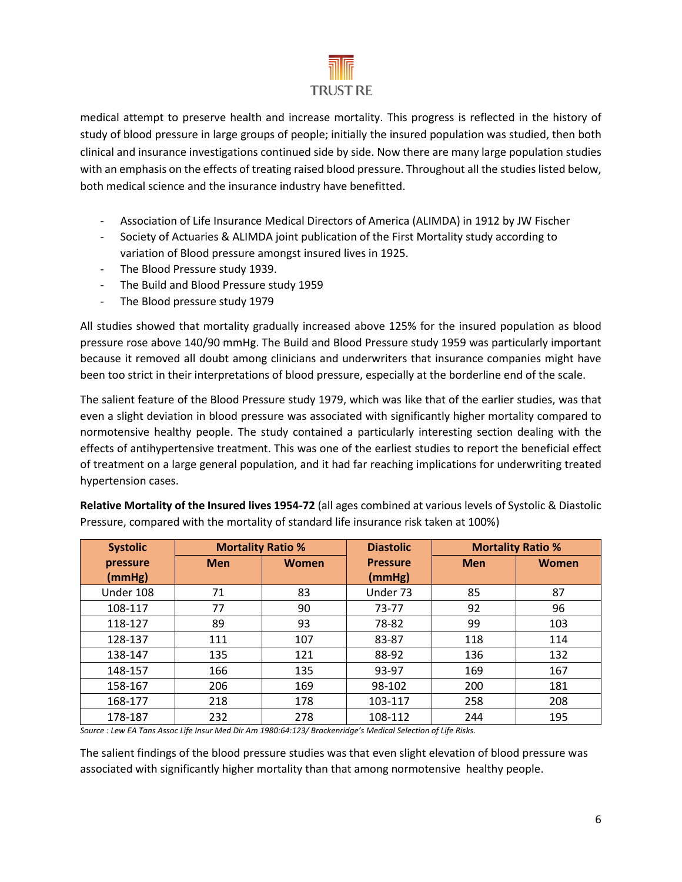

medical attempt to preserve health and increase mortality. This progress is reflected in the history of study of blood pressure in large groups of people; initially the insured population was studied, then both clinical and insurance investigations continued side by side. Now there are many large population studies with an emphasis on the effects of treating raised blood pressure. Throughout all the studies listed below, both medical science and the insurance industry have benefitted.

- Association of Life Insurance Medical Directors of America (ALIMDA) in 1912 by JW Fischer
- Society of Actuaries & ALIMDA joint publication of the First Mortality study according to variation of Blood pressure amongst insured lives in 1925.
- The Blood Pressure study 1939.
- The Build and Blood Pressure study 1959
- The Blood pressure study 1979

All studies showed that mortality gradually increased above 125% for the insured population as blood pressure rose above 140/90 mmHg. The Build and Blood Pressure study 1959 was particularly important because it removed all doubt among clinicians and underwriters that insurance companies might have been too strict in their interpretations of blood pressure, especially at the borderline end of the scale.

The salient feature of the Blood Pressure study 1979, which was like that of the earlier studies, was that even a slight deviation in blood pressure was associated with significantly higher mortality compared to normotensive healthy people. The study contained a particularly interesting section dealing with the effects of antihypertensive treatment. This was one of the earliest studies to report the beneficial effect of treatment on a large general population, and it had far reaching implications for underwriting treated hypertension cases.

| <b>Systolic</b>    | <b>Mortality Ratio %</b> |       | <b>Diastolic</b>          | <b>Mortality Ratio %</b> |       |  |  |
|--------------------|--------------------------|-------|---------------------------|--------------------------|-------|--|--|
| pressure<br>(mmHg) | <b>Men</b>               | Women | <b>Pressure</b><br>(mmHg) | <b>Men</b>               | Women |  |  |
| Under 108          | 71                       | 83    | Under 73                  | 85                       | 87    |  |  |
| 108-117            | 77                       | 92    | 96                        |                          |       |  |  |
| 118-127            | 89                       | 93    | 78-82                     | 99                       | 103   |  |  |
| 128-137            | 111<br>107               |       | 83-87                     | 118                      | 114   |  |  |
| 138-147            | 135<br>121               |       | 88-92                     | 136                      | 132   |  |  |
| 148-157            | 166                      | 135   | 93-97                     | 169                      | 167   |  |  |
| 158-167            | 206                      | 169   | 98-102                    | 200                      | 181   |  |  |
| 168-177            | 218<br>178               |       | 103-117                   | 258                      | 208   |  |  |
| 178-187            | 232                      | 278   | 108-112                   | 244                      | 195   |  |  |

**Relative Mortality of the Insured lives 1954-72** (all ages combined at various levels of Systolic & Diastolic Pressure, compared with the mortality of standard life insurance risk taken at 100%)

*Source : Lew EA Tans Assoc Life Insur Med Dir Am 1980:64:123/ Brackenridge's Medical Selection of Life Risks.*

The salient findings of the blood pressure studies was that even slight elevation of blood pressure was associated with significantly higher mortality than that among normotensive healthy people.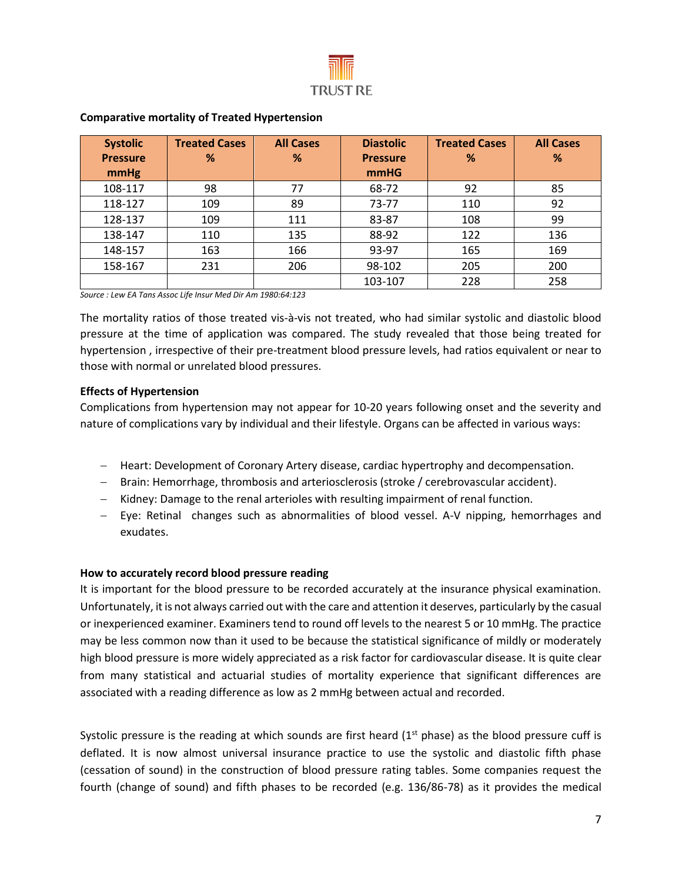

| <b>Systolic</b> | <b>Treated Cases</b> | <b>All Cases</b>        | <b>Diastolic</b> | <b>Treated Cases</b> | <b>All Cases</b> |  |  |  |
|-----------------|----------------------|-------------------------|------------------|----------------------|------------------|--|--|--|
| <b>Pressure</b> | %                    | %                       | <b>Pressure</b>  | %                    | %                |  |  |  |
| mmHg            |                      |                         | <b>mmHG</b>      |                      |                  |  |  |  |
| 108-117         | 98                   | 92<br>85<br>77<br>68-72 |                  |                      |                  |  |  |  |
| 118-127         | 109                  | 89                      | 73-77            | 110                  | 92               |  |  |  |
| 128-137         | 109                  | 111                     | 83-87            | 108                  |                  |  |  |  |
| 138-147         | 135<br>110           |                         | 88-92            | 122                  | 136              |  |  |  |
| 148-157         | 163<br>166           |                         | 93-97            | 165                  | 169              |  |  |  |
| 158-167         | 231<br>206           |                         | 98-102           | 205                  |                  |  |  |  |
|                 |                      |                         | 103-107          | 228                  | 258              |  |  |  |

#### **Comparative mortality of Treated Hypertension**

*Source : Lew EA Tans Assoc Life Insur Med Dir Am 1980:64:123*

The mortality ratios of those treated vis-à-vis not treated, who had similar systolic and diastolic blood pressure at the time of application was compared. The study revealed that those being treated for hypertension , irrespective of their pre-treatment blood pressure levels, had ratios equivalent or near to those with normal or unrelated blood pressures.

#### **Effects of Hypertension**

Complications from hypertension may not appear for 10-20 years following onset and the severity and nature of complications vary by individual and their lifestyle. Organs can be affected in various ways:

- − Heart: Development of Coronary Artery disease, cardiac hypertrophy and decompensation.
- − Brain: Hemorrhage, thrombosis and arteriosclerosis (stroke / cerebrovascular accident).
- − Kidney: Damage to the renal arterioles with resulting impairment of renal function.
- − Eye: Retinal changes such as abnormalities of blood vessel. A-V nipping, hemorrhages and exudates.

#### **How to accurately record blood pressure reading**

It is important for the blood pressure to be recorded accurately at the insurance physical examination. Unfortunately, it is not always carried out with the care and attention it deserves, particularly by the casual or inexperienced examiner. Examiners tend to round off levels to the nearest 5 or 10 mmHg. The practice may be less common now than it used to be because the statistical significance of mildly or moderately high blood pressure is more widely appreciated as a risk factor for cardiovascular disease. It is quite clear from many statistical and actuarial studies of mortality experience that significant differences are associated with a reading difference as low as 2 mmHg between actual and recorded.

Systolic pressure is the reading at which sounds are first heard  $(1<sup>st</sup>$  phase) as the blood pressure cuff is deflated. It is now almost universal insurance practice to use the systolic and diastolic fifth phase (cessation of sound) in the construction of blood pressure rating tables. Some companies request the fourth (change of sound) and fifth phases to be recorded (e.g. 136/86-78) as it provides the medical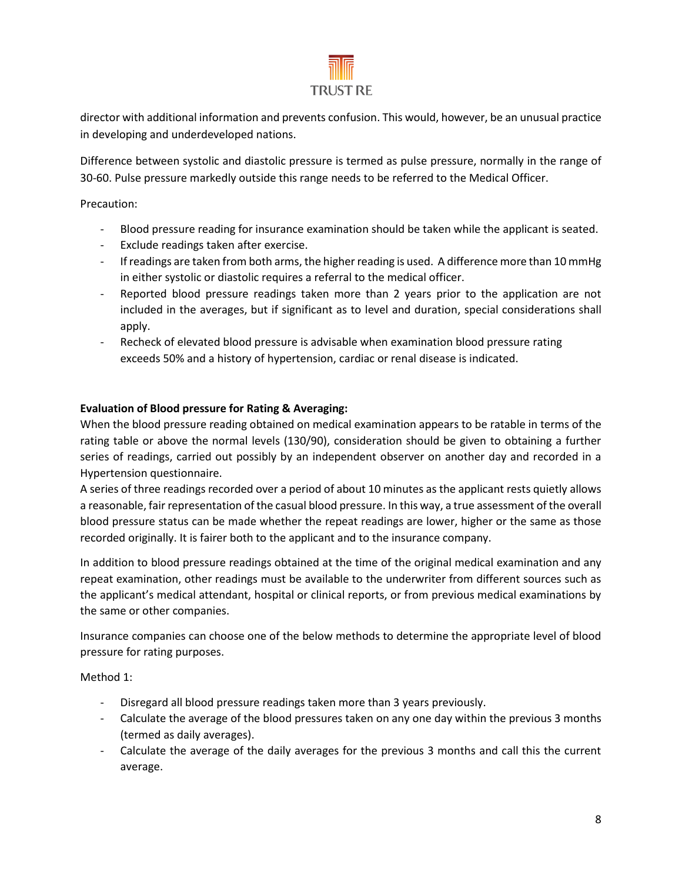

director with additional information and prevents confusion. This would, however, be an unusual practice in developing and underdeveloped nations.

Difference between systolic and diastolic pressure is termed as pulse pressure, normally in the range of 30-60. Pulse pressure markedly outside this range needs to be referred to the Medical Officer.

Precaution:

- Blood pressure reading for insurance examination should be taken while the applicant is seated.
- Exclude readings taken after exercise.
- If readings are taken from both arms, the higher reading is used. A difference more than 10 mmHg in either systolic or diastolic requires a referral to the medical officer.
- Reported blood pressure readings taken more than 2 years prior to the application are not included in the averages, but if significant as to level and duration, special considerations shall apply.
- Recheck of elevated blood pressure is advisable when examination blood pressure rating exceeds 50% and a history of hypertension, cardiac or renal disease is indicated.

# **Evaluation of Blood pressure for Rating & Averaging:**

When the blood pressure reading obtained on medical examination appears to be ratable in terms of the rating table or above the normal levels (130/90), consideration should be given to obtaining a further series of readings, carried out possibly by an independent observer on another day and recorded in a Hypertension questionnaire.

A series of three readings recorded over a period of about 10 minutes as the applicant rests quietly allows a reasonable, fair representation of the casual blood pressure. In this way, a true assessment of the overall blood pressure status can be made whether the repeat readings are lower, higher or the same as those recorded originally. It is fairer both to the applicant and to the insurance company.

In addition to blood pressure readings obtained at the time of the original medical examination and any repeat examination, other readings must be available to the underwriter from different sources such as the applicant's medical attendant, hospital or clinical reports, or from previous medical examinations by the same or other companies.

Insurance companies can choose one of the below methods to determine the appropriate level of blood pressure for rating purposes.

Method 1:

- Disregard all blood pressure readings taken more than 3 years previously.
- Calculate the average of the blood pressures taken on any one day within the previous 3 months (termed as daily averages).
- Calculate the average of the daily averages for the previous 3 months and call this the current average.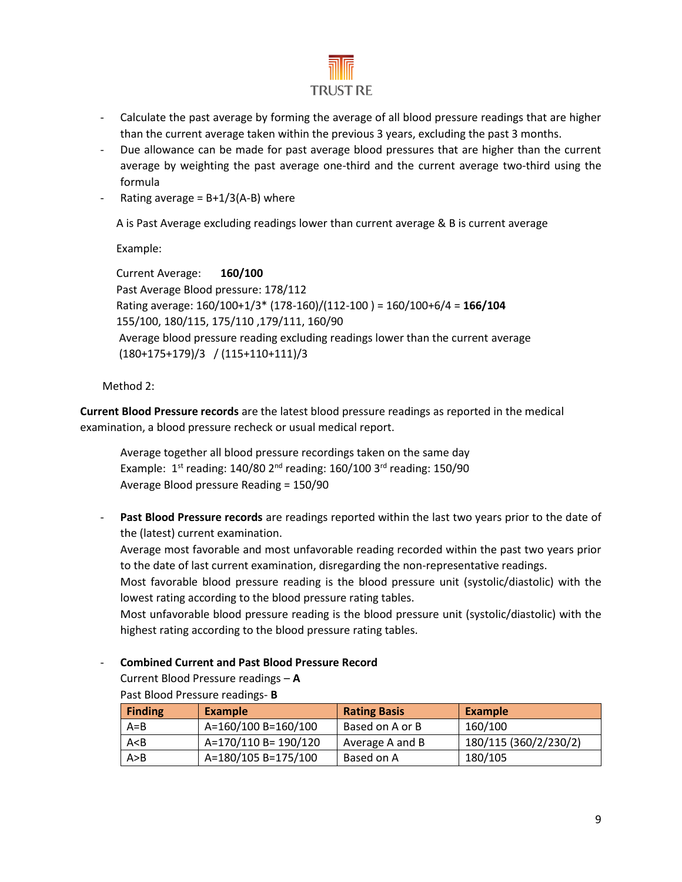

- Calculate the past average by forming the average of all blood pressure readings that are higher than the current average taken within the previous 3 years, excluding the past 3 months.
- Due allowance can be made for past average blood pressures that are higher than the current average by weighting the past average one-third and the current average two-third using the formula
- Rating average =  $B+1/3(A-B)$  where

A is Past Average excluding readings lower than current average & B is current average

Example:

```
 Current Average: 160/100
Past Average Blood pressure: 178/112
Rating average: 160/100+1/3* (178-160)/(112-100 ) = 160/100+6/4 = 166/104
155/100, 180/115, 175/110 ,179/111, 160/90 
Average blood pressure reading excluding readings lower than the current average
(180+175+179)/3 / (115+110+111)/3
```
Method 2:

**Current Blood Pressure records** are the latest blood pressure readings as reported in the medical examination, a blood pressure recheck or usual medical report.

Average together all blood pressure recordings taken on the same day Example:  $1<sup>st</sup>$  reading: 140/80  $2<sup>nd</sup>$  reading: 160/100  $3<sup>rd</sup>$  reading: 150/90 Average Blood pressure Reading = 150/90

**Past Blood Pressure records** are readings reported within the last two years prior to the date of the (latest) current examination.

Average most favorable and most unfavorable reading recorded within the past two years prior to the date of last current examination, disregarding the non-representative readings.

Most favorable blood pressure reading is the blood pressure unit (systolic/diastolic) with the lowest rating according to the blood pressure rating tables.

Most unfavorable blood pressure reading is the blood pressure unit (systolic/diastolic) with the highest rating according to the blood pressure rating tables.

#### - **Combined Current and Past Blood Pressure Record**

Current Blood Pressure readings – **A** Past Blood Pressure readings- **B** 

| Finding | Example              | <b>Rating Basis</b> | Example               |  |  |  |
|---------|----------------------|---------------------|-----------------------|--|--|--|
| $A = B$ | A=160/100 B=160/100  | Based on A or B     | 160/100               |  |  |  |
| A < B   | A=170/110 B= 190/120 | Average A and B     | 180/115 (360/2/230/2) |  |  |  |
| A > B   | A=180/105 B=175/100  | Based on A          | 180/105               |  |  |  |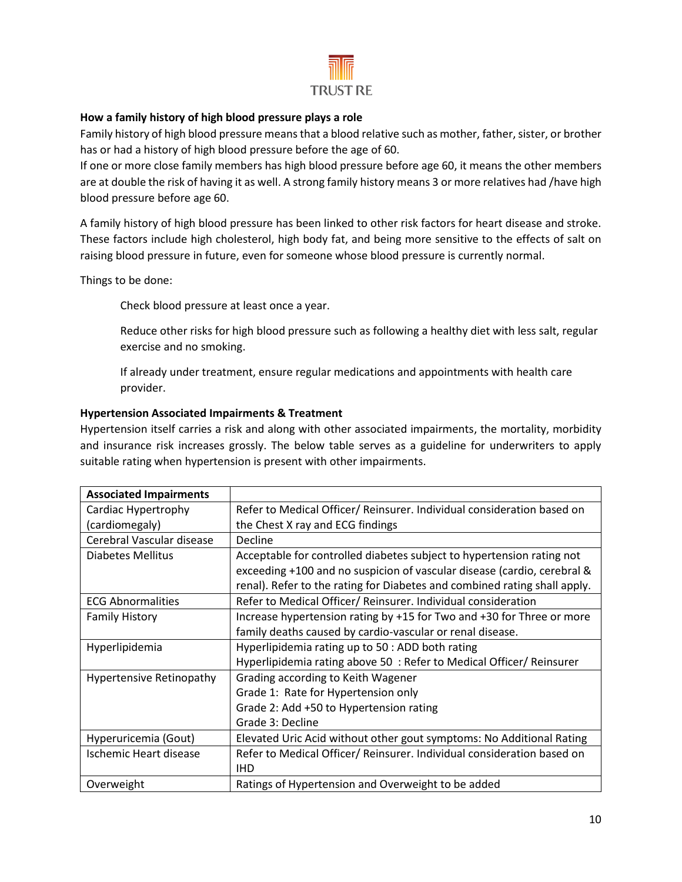

## **How a family history of high blood pressure plays a role**

Family history of high blood pressure meansthat a blood relative such as mother, father, sister, or brother has or had a history of high blood pressure before the age of 60.

If one or more close family members has high blood pressure before age 60, it means the other members are at double the risk of having it as well. A strong family history means 3 or more relatives had /have high blood pressure before age 60.

A family history of high blood pressure has been linked to other risk factors for heart disease and stroke. These factors include high cholesterol, high body fat, and being more sensitive to the effects of salt on raising blood pressure in future, even for someone whose blood pressure is currently normal.

Things to be done:

Check blood pressure at least once a year.

Reduce other risks for high blood pressure such as following a healthy diet with less salt, regular exercise and no smoking.

If already under treatment, ensure regular medications and appointments with health care provider.

#### **Hypertension Associated Impairments & Treatment**

Hypertension itself carries a risk and along with other associated impairments, the mortality, morbidity and insurance risk increases grossly. The below table serves as a guideline for underwriters to apply suitable rating when hypertension is present with other impairments.

| <b>Associated Impairments</b>   |                                                                           |
|---------------------------------|---------------------------------------------------------------------------|
| Cardiac Hypertrophy             | Refer to Medical Officer/ Reinsurer. Individual consideration based on    |
| (cardiomegaly)                  | the Chest X ray and ECG findings                                          |
| Cerebral Vascular disease       | Decline                                                                   |
| Diabetes Mellitus               | Acceptable for controlled diabetes subject to hypertension rating not     |
|                                 | exceeding +100 and no suspicion of vascular disease (cardio, cerebral &   |
|                                 | renal). Refer to the rating for Diabetes and combined rating shall apply. |
| <b>ECG Abnormalities</b>        | Refer to Medical Officer/ Reinsurer. Individual consideration             |
| <b>Family History</b>           | Increase hypertension rating by +15 for Two and +30 for Three or more     |
|                                 | family deaths caused by cardio-vascular or renal disease.                 |
| Hyperlipidemia                  | Hyperlipidemia rating up to 50 : ADD both rating                          |
|                                 | Hyperlipidemia rating above 50 : Refer to Medical Officer/ Reinsurer      |
| <b>Hypertensive Retinopathy</b> | Grading according to Keith Wagener                                        |
|                                 | Grade 1: Rate for Hypertension only                                       |
|                                 | Grade 2: Add +50 to Hypertension rating                                   |
|                                 | Grade 3: Decline                                                          |
| Hyperuricemia (Gout)            | Elevated Uric Acid without other gout symptoms: No Additional Rating      |
| Ischemic Heart disease          | Refer to Medical Officer/ Reinsurer. Individual consideration based on    |
|                                 | <b>IHD</b>                                                                |
| Overweight                      | Ratings of Hypertension and Overweight to be added                        |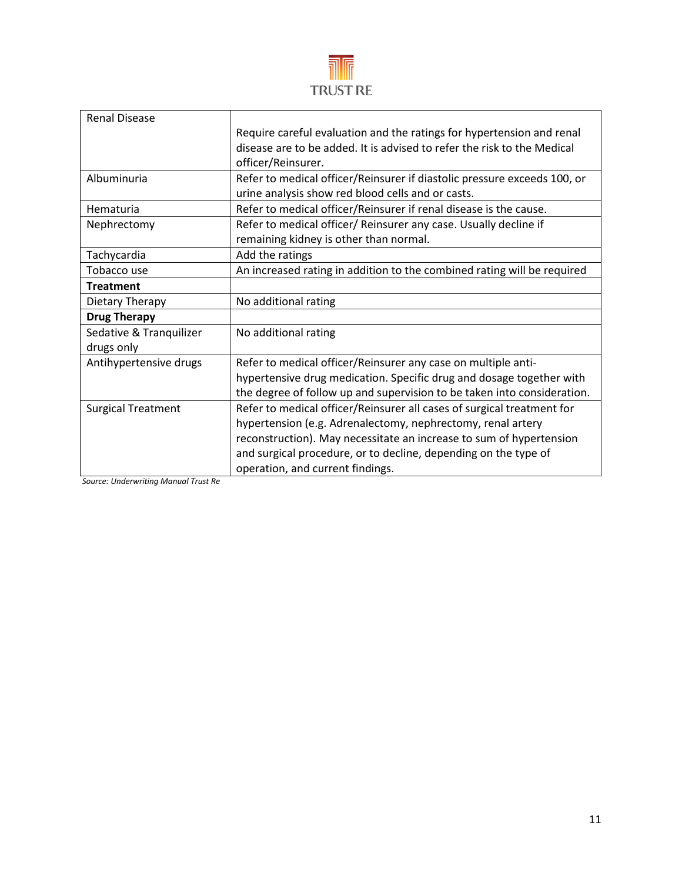

| <b>Renal Disease</b>      |                                                                          |
|---------------------------|--------------------------------------------------------------------------|
|                           | Require careful evaluation and the ratings for hypertension and renal    |
|                           | disease are to be added. It is advised to refer the risk to the Medical  |
|                           | officer/Reinsurer.                                                       |
| Albuminuria               | Refer to medical officer/Reinsurer if diastolic pressure exceeds 100, or |
|                           | urine analysis show red blood cells and or casts.                        |
| Hematuria                 | Refer to medical officer/Reinsurer if renal disease is the cause.        |
| Nephrectomy               | Refer to medical officer/ Reinsurer any case. Usually decline if         |
|                           | remaining kidney is other than normal.                                   |
| Tachycardia               | Add the ratings                                                          |
| Tobacco use               | An increased rating in addition to the combined rating will be required  |
| <b>Treatment</b>          |                                                                          |
|                           |                                                                          |
| Dietary Therapy           | No additional rating                                                     |
| <b>Drug Therapy</b>       |                                                                          |
| Sedative & Tranquilizer   | No additional rating                                                     |
| drugs only                |                                                                          |
| Antihypertensive drugs    | Refer to medical officer/Reinsurer any case on multiple anti-            |
|                           | hypertensive drug medication. Specific drug and dosage together with     |
|                           | the degree of follow up and supervision to be taken into consideration.  |
| <b>Surgical Treatment</b> | Refer to medical officer/Reinsurer all cases of surgical treatment for   |
|                           | hypertension (e.g. Adrenalectomy, nephrectomy, renal artery              |
|                           | reconstruction). May necessitate an increase to sum of hypertension      |
|                           | and surgical procedure, or to decline, depending on the type of          |

*Source: Underwriting Manual Trust Re*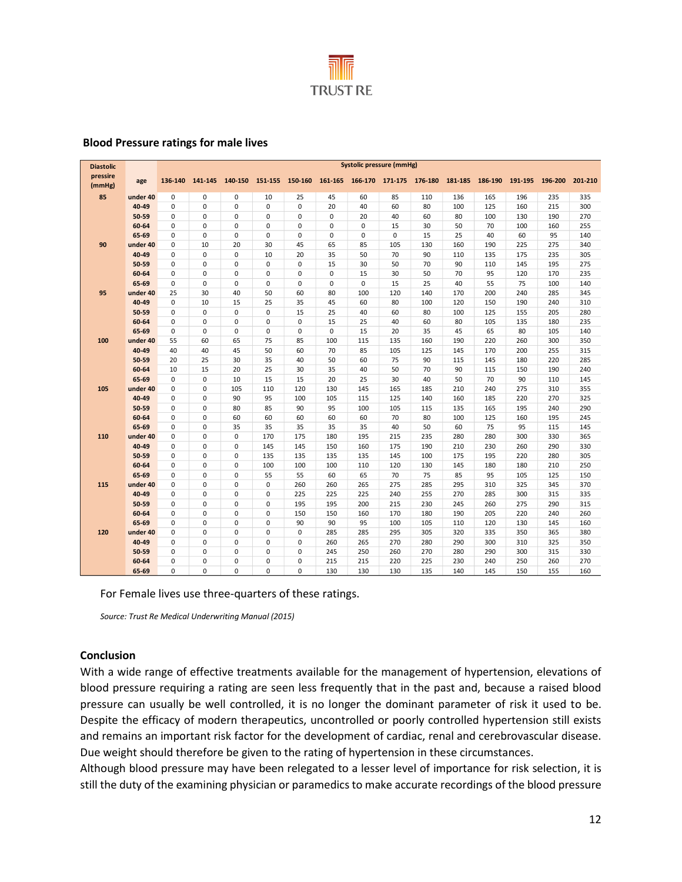

#### **Blood Pressure ratings for male lives**

| <b>Diastolic</b>   |                | <b>Systolic pressure (mmHg)</b> |                            |                            |                                                         |             |            |            |             |            |            |            |            |            |            |
|--------------------|----------------|---------------------------------|----------------------------|----------------------------|---------------------------------------------------------|-------------|------------|------------|-------------|------------|------------|------------|------------|------------|------------|
| pressire<br>(mmHg) | age            | 136-140                         | 141-145                    |                            | 140-150 151-155 150-160 161-165 166-170 171-175 176-180 |             |            |            |             |            | 181-185    | 186-190    | 191-195    | 196-200    | 201-210    |
| 85                 | under 40       | 0                               | 0                          | 0                          | 10                                                      | 25          | 45         | 60         | 85          | 110        | 136        | 165        | 196        | 235        | 335        |
|                    | 40-49          | $\Omega$                        | $\mathbf 0$                | $\mathbf 0$                | $\mathbf 0$                                             | 0           | 20         | 40         | 60          | 80         | 100        | 125        | 160        | 215        | 300        |
|                    | 50-59          | $\mathbf 0$                     | $\mathbf 0$                | $\mathsf 0$                | 0                                                       | 0           | 0          | 20         | 40          | 60         | 80         | 100        | 130        | 190        | 270        |
|                    | 60-64          | $\Omega$                        | $\mathbf 0$                | 0                          | $\mathbf 0$                                             | 0           | 0          | 0          | 15          | 30         | 50         | 70         | 100        | 160        | 255        |
|                    | 65-69          | $\Omega$                        | $\mathbf 0$                | $\pmb{0}$                  | $\mathbf 0$                                             | $\mathbf 0$ | 0          | $\pmb{0}$  | $\mathbf 0$ | 15         | 25         | 40         | 60         | 95         | 140        |
| 90                 | under 40       | $\Omega$                        | 10                         | 20                         | 30                                                      | 45          | 65         | 85         | 105         | 130        | 160        | 190        | 225        | 275        | 340        |
|                    | 40-49          | 0                               | $\mathbf 0$                | $\mathsf 0$                | 10                                                      | 20          | 35         | 50         | 70          | 90         | 110        | 135        | 175        | 235        | 305        |
|                    | 50-59          | $\mathbf 0$                     | $\mathbf 0$                | $\mathsf 0$                | $\mathbf 0$                                             | $\mathbf 0$ | 15         | 30         | 50          | 70         | 90         | 110        | 145        | 195        | 275        |
|                    | 60-64          | 0                               | $\mathsf 0$                | $\mathsf 0$                | 0                                                       | 0           | 0          | 15         | 30          | 50         | 70         | 95         | 120        | 170        | 235        |
|                    | 65-69          | $\mathbf 0$                     | $\mathbf 0$                | $\mathbf 0$                | $\mathbf 0$                                             | 0           | 0          | 0          | 15          | 25         | 40         | 55         | 75         | 100        | 140        |
| 95                 | under 40       | 25                              | 30                         | 40                         | 50                                                      | 60          | 80         | 100        | 120         | 140        | 170        | 200        | 240        | 285        | 345        |
|                    | 40-49          | $\mathbf 0$                     | 10                         | 15                         | 25                                                      | 35          | 45         | 60         | 80          | 100        | 120        | 150        | 190        | 240        | 310        |
|                    | 50-59          | $\mathbf 0$                     | $\mathbf 0$                | $\mathbf 0$                | $\mathbf 0$                                             | 15          | 25         | 40         | 60          | 80         | 100        | 125        | 155        | 205        | 280        |
|                    | 60-64          | $\mathbf 0$                     | $\pmb{0}$                  | $\mathsf 0$                | $\mathbf 0$                                             | $\mathbf 0$ | 15         | 25         | 40          | 60         | 80         | 105        | 135        | 180        | 235        |
|                    | 65-69          | $\Omega$                        | $\mathbf 0$                | $\mathsf 0$                | 0                                                       | $\Omega$    | 0          | 15         | 20          | 35         | 45         | 65         | 80         | 105        | 140        |
| 100                | under 40       | 55                              | 60                         | 65                         | 75                                                      | 85          | 100        | 115        | 135         | 160        | 190        | 220        | 260        | 300        | 350        |
|                    | 40-49          | 40                              | 40                         | 45                         | 50                                                      | 60          | 70         | 85         | 105         | 125        | 145        | 170        | 200        | 255        | 315        |
|                    | 50-59          | 20                              | 25                         | 30                         | 35                                                      | 40          | 50         | 60         | 75          | 90         | 115        | 145        | 180        | 220        | 285        |
|                    | 60-64          | 10                              | 15                         | 20                         | 25                                                      | 30          | 35         | 40         | 50          | 70         | 90         | 115        | 150        | 190        | 240        |
|                    | 65-69          | $\Omega$                        | $\mathbf 0$                | 10                         | 15                                                      | 15          | 20         | 25         | 30          | 40         | 50         | 70         | 90         | 110        | 145        |
| 105                | under 40       | $\mathbf 0$                     | $\mathbf 0$                | 105                        | 110                                                     | 120         | 130        | 145        | 165         | 185        | 210        | 240        | 275        | 310        | 355        |
|                    | 40-49          | $\Omega$                        | $\mathbf 0$                | 90                         | 95                                                      | 100         | 105        | 115        | 125         | 140        | 160        | 185        | 220        | 270        | 325        |
|                    | 50-59          | $\Omega$                        | $\mathbf 0$                | 80                         | 85                                                      | 90          | 95         | 100        | 105         | 115        | 135        | 165        | 195        | 240        | 290        |
|                    | 60-64          | $\mathbf 0$                     | $\mathbf 0$                | 60                         | 60                                                      | 60          | 60         | 60         | 70          | 80         | 100        | 125        | 160        | 195        | 245        |
|                    | 65-69          | 0                               | $\mathbf 0$                | 35                         | 35                                                      | 35          | 35         | 35         | 40          | 50         | 60         | 75         | 95         | 115        | 145        |
| 110                | under 40       | $\Omega$                        | $\mathbf 0$                | $\mathbf 0$                | 170                                                     | 175         | 180        | 195        | 215         | 235        | 280        | 280        | 300        | 330        | 365        |
|                    | 40-49          | 0                               | $\pmb{0}$                  | $\pmb{0}$                  | 145                                                     | 145         | 150        | 160        | 175         | 190        | 210        | 230        | 260        | 290        | 330        |
|                    | 50-59<br>60-64 | 0<br>0                          | $\mathbf 0$<br>$\mathbf 0$ | $\mathsf 0$<br>$\mathsf 0$ | 135<br>100                                              | 135<br>100  | 135<br>100 | 135<br>110 | 145<br>120  | 100<br>130 | 175<br>145 | 195<br>180 | 220<br>180 | 280<br>210 | 305<br>250 |
|                    | 65-69          | $\Omega$                        | $\mathbf 0$                | $\mathsf 0$                | 55                                                      | 55          | 60         | 65         | 70          | 75         | 85         | 95         | 105        | 125        | 150        |
| 115                | under 40       | $\mathbf 0$                     | $\mathbf 0$                | $\mathbf 0$                | $\mathbf 0$                                             | 260         | 260        | 265        | 275         | 285        | 295        | 310        | 325        | 345        | 370        |
|                    | 40-49          | $\mathbf 0$                     | $\mathbf 0$                | $\mathsf 0$                | $\mathbf 0$                                             | 225         | 225        | 225        | 240         | 255        | 270        | 285        | 300        | 315        | 335        |
|                    | 50-59          | $\Omega$                        | $\mathbf 0$                | $\mathbf 0$                | $\mathbf 0$                                             | 195         | 195        | 200        | 215         | 230        | 245        | 260        | 275        | 290        | 315        |
|                    | 60-64          | 0                               | $\mathbf 0$                | $\mathbf 0$                | $\mathbf 0$                                             | 150         | 150        | 160        | 170         | 180        | 190        | 205        | 220        | 240        | 260        |
|                    | 65-69          | $\Omega$                        | $\mathbf 0$                | $\mathbf 0$                | $\mathbf 0$                                             | 90          | 90         | 95         | 100         | 105        | 110        | 120        | 130        | 145        | 160        |
| 120                | under 40       | 0                               | $\mathbf 0$                | $\mathbf 0$                | $\mathbf 0$                                             | $\mathbf 0$ | 285        | 285        | 295         | 305        | 320        | 335        | 350        | 365        | 380        |
|                    | 40-49          | $\mathbf 0$                     | $\mathbf 0$                | $\mathsf 0$                | $\pmb{0}$                                               | 0           | 260        | 265        | 270         | 280        | 290        | 300        | 310        | 325        | 350        |
|                    | 50-59          | $\Omega$                        | $\pmb{0}$                  | $\mathsf 0$                | $\mathbf 0$                                             | 0           | 245        | 250        | 260         | 270        | 280        | 290        | 300        | 315        | 330        |
|                    | 60-64          | $\mathbf 0$                     | $\mathbf 0$                | $\mathbf 0$                | $\mathbf 0$                                             | 0           | 215        | 215        | 220         | 225        | 230        | 240        | 250        | 260        | 270        |
|                    | 65-69          | 0                               | $\mathbf 0$                | $\mathbf 0$                | 0                                                       | $\Omega$    | 130        | 130        | 130         | 135        | 140        | 145        | 150        | 155        | 160        |

For Female lives use three-quarters of these ratings.

*Source: Trust Re Medical Underwriting Manual (2015)*

#### **Conclusion**

With a wide range of effective treatments available for the management of hypertension, elevations of blood pressure requiring a rating are seen less frequently that in the past and, because a raised blood pressure can usually be well controlled, it is no longer the dominant parameter of risk it used to be. Despite the efficacy of modern therapeutics, uncontrolled or poorly controlled hypertension still exists and remains an important risk factor for the development of cardiac, renal and cerebrovascular disease. Due weight should therefore be given to the rating of hypertension in these circumstances.

Although blood pressure may have been relegated to a lesser level of importance for risk selection, it is still the duty of the examining physician or paramedics to make accurate recordings of the blood pressure